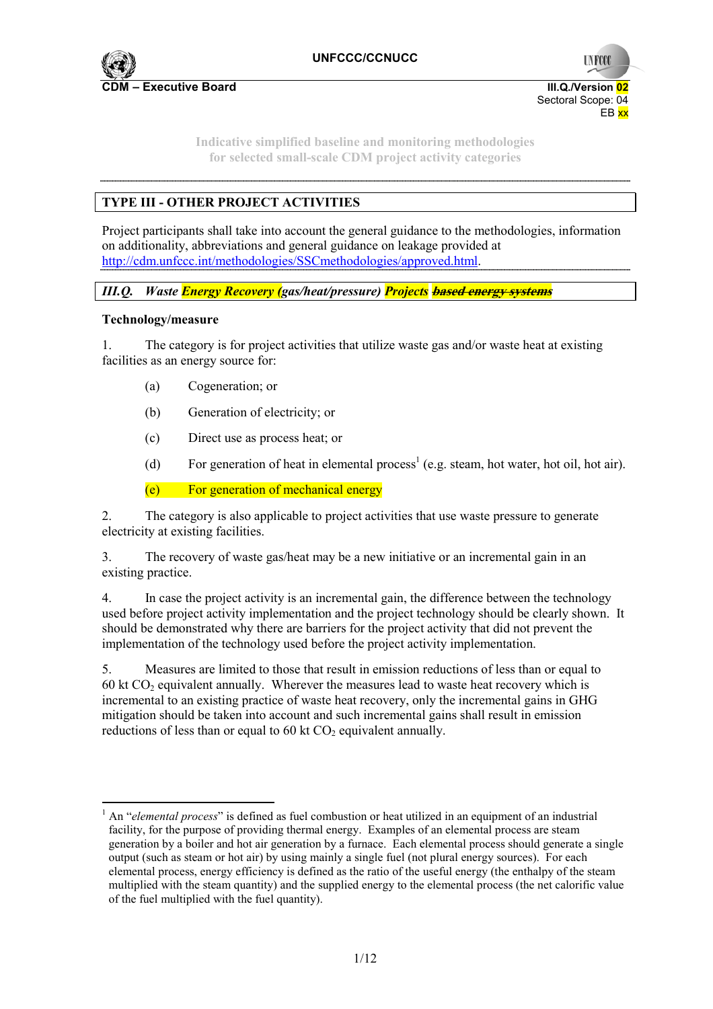

**UNFCCO** Sectoral Scope: 04 EB xx

**Indicative simplified baseline and monitoring methodologies for selected small-scale CDM project activity categories** 

# **TYPE III - OTHER PROJECT ACTIVITIES**

Project participants shall take into account the general guidance to the methodologies, information on additionality, abbreviations and general guidance on leakage provided at http://cdm.unfccc.int/methodologies/SSCmethodologies/approved.html.

*III.Q. Waste Energy Recovery (gas/heat/pressure) Projects* **based energy systems**

### **Technology/measure**

 $\overline{a}$ 

1. The category is for project activities that utilize waste gas and/or waste heat at existing facilities as an energy source for:

- (a) Cogeneration; or
- (b) Generation of electricity; or
- (c) Direct use as process heat; or
- (d) For generation of heat in elemental process<sup>1</sup> (e.g. steam, hot water, hot oil, hot air).

(e) For generation of mechanical energy

2. The category is also applicable to project activities that use waste pressure to generate electricity at existing facilities.

3. The recovery of waste gas/heat may be a new initiative or an incremental gain in an existing practice.

4. In case the project activity is an incremental gain, the difference between the technology used before project activity implementation and the project technology should be clearly shown. It should be demonstrated why there are barriers for the project activity that did not prevent the implementation of the technology used before the project activity implementation.

5. Measures are limited to those that result in emission reductions of less than or equal to 60 kt  $CO<sub>2</sub>$  equivalent annually. Wherever the measures lead to waste heat recovery which is incremental to an existing practice of waste heat recovery, only the incremental gains in GHG mitigation should be taken into account and such incremental gains shall result in emission reductions of less than or equal to 60 kt  $CO<sub>2</sub>$  equivalent annually.

<sup>&</sup>lt;sup>1</sup> An "*elemental process*" is defined as fuel combustion or heat utilized in an equipment of an industrial facility, for the purpose of providing thermal energy. Examples of an elemental process are steam generation by a boiler and hot air generation by a furnace. Each elemental process should generate a single output (such as steam or hot air) by using mainly a single fuel (not plural energy sources). For each elemental process, energy efficiency is defined as the ratio of the useful energy (the enthalpy of the steam multiplied with the steam quantity) and the supplied energy to the elemental process (the net calorific value of the fuel multiplied with the fuel quantity).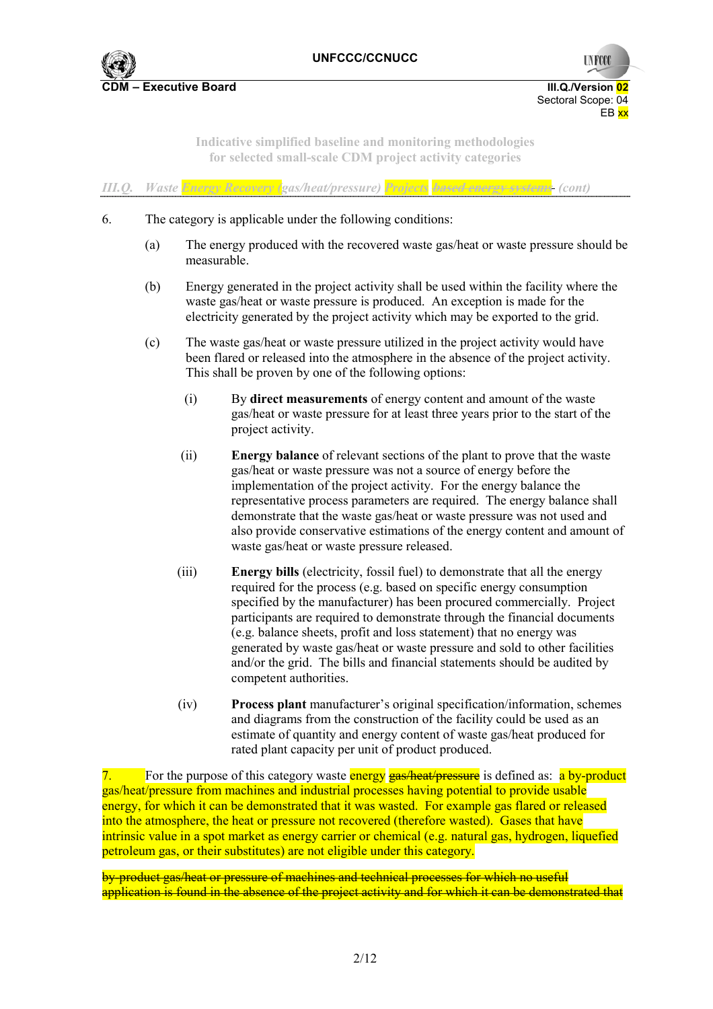

**UNFCCC** Sectoral Scope: 04 EB xx

**Indicative simplified baseline and monitoring methodologies for selected small-scale CDM project activity categories** 

|  |  |  |  | III.Q. Waste Energy Recovery (gas/heat/pressure) Projects based energy systems (cont) |  |
|--|--|--|--|---------------------------------------------------------------------------------------|--|
|--|--|--|--|---------------------------------------------------------------------------------------|--|

- 6. The category is applicable under the following conditions:
	- (a) The energy produced with the recovered waste gas/heat or waste pressure should be measurable.
	- (b) Energy generated in the project activity shall be used within the facility where the waste gas/heat or waste pressure is produced. An exception is made for the electricity generated by the project activity which may be exported to the grid.
	- (c) The waste gas/heat or waste pressure utilized in the project activity would have been flared or released into the atmosphere in the absence of the project activity. This shall be proven by one of the following options:
		- (i) By **direct measurements** of energy content and amount of the waste gas/heat or waste pressure for at least three years prior to the start of the project activity.
		- (ii) **Energy balance** of relevant sections of the plant to prove that the waste gas/heat or waste pressure was not a source of energy before the implementation of the project activity. For the energy balance the representative process parameters are required. The energy balance shall demonstrate that the waste gas/heat or waste pressure was not used and also provide conservative estimations of the energy content and amount of waste gas/heat or waste pressure released.
		- (iii) **Energy bills** (electricity, fossil fuel) to demonstrate that all the energy required for the process (e.g. based on specific energy consumption specified by the manufacturer) has been procured commercially. Project participants are required to demonstrate through the financial documents (e.g. balance sheets, profit and loss statement) that no energy was generated by waste gas/heat or waste pressure and sold to other facilities and/or the grid. The bills and financial statements should be audited by competent authorities.
		- (iv) **Process plant** manufacturer's original specification/information, schemes and diagrams from the construction of the facility could be used as an estimate of quantity and energy content of waste gas/heat produced for rated plant capacity per unit of product produced.

7. For the purpose of this category waste energy gas/heat/pressure is defined as: a by-product gas/heat/pressure from machines and industrial processes having potential to provide usable energy, for which it can be demonstrated that it was wasted. For example gas flared or released into the atmosphere, the heat or pressure not recovered (therefore wasted). Gases that have intrinsic value in a spot market as energy carrier or chemical (e.g. natural gas, hydrogen, liquefied petroleum gas, or their substitutes) are not eligible under this category.

by-product gas/heat or pressure of machines and technical processes for which no useful application is found in the absence of the project activity and for which it can be demonstrated that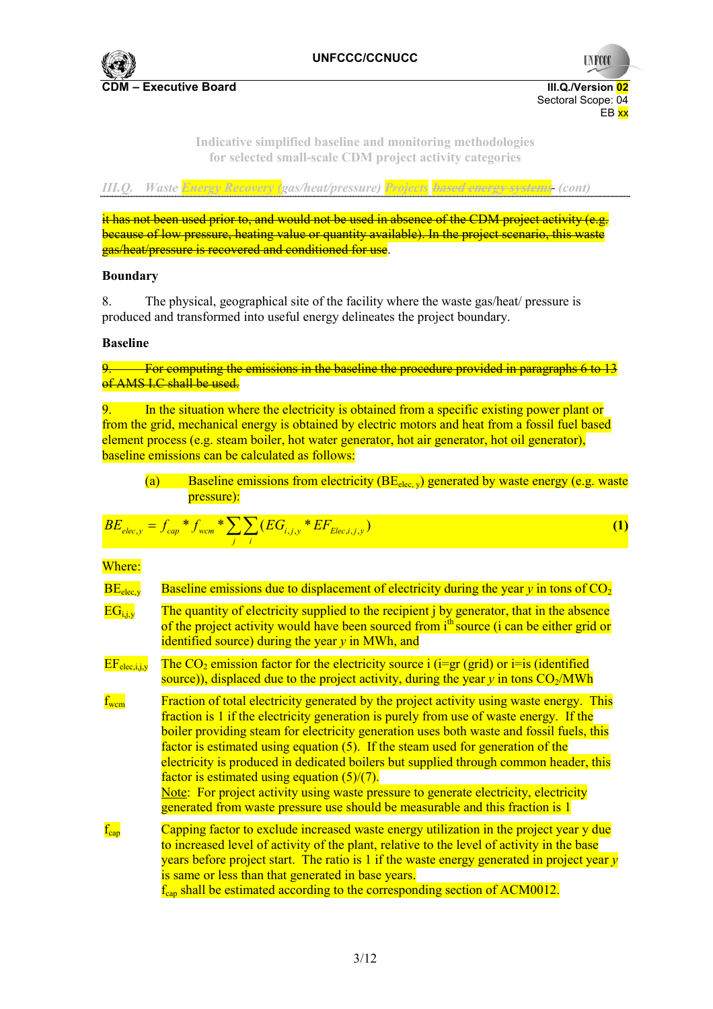

**UNFCCC** 

**Indicative simplified baseline and monitoring methodologies for selected small-scale CDM project activity categories** 

| и прим<br>77 IV | - 82 | - 11<br>- 17 |  |
|-----------------|------|--------------|--|
|                 |      |              |  |

it has not been used prior to, and would not be used in absence of the CDM project activity (e.g. because of low pressure, heating value or quantity available). In the project scenario, this waste gas/heat/pressure is recovered and conditioned for use.

### **Boundary**

8. The physical, geographical site of the facility where the waste gas/heat/ pressure is produced and transformed into useful energy delineates the project boundary.

### **Baseline**

9. For computing the emissions in the baseline the procedure provided in paragraphs 6 to 13 of AMS I.C shall be used.

9. In the situation where the electricity is obtained from a specific existing power plant or from the grid, mechanical energy is obtained by electric motors and heat from a fossil fuel based element process (e.g. steam boiler, hot water generator, hot air generator, hot oil generator), baseline emissions can be calculated as follows:

(a) Baseline emissions from electricity  $(BE_{elec,v})$  generated by waste energy (e.g. waste pressure):

$$
BE_{elec,y} = f_{cap} * f_{wcm} * \sum_{j} \sum_{i} (EG_{i,j,y} * EF_{Elec,i,j,y})
$$
 (1)

Where:

| BE <sub>elec,v</sub>    | Baseline emissions due to displacement of electricity during the year $y$ in tons of $CO2$                                                                                                                                                                                                                                                                                                                                                                                                                                                                                                                                                                                            |
|-------------------------|---------------------------------------------------------------------------------------------------------------------------------------------------------------------------------------------------------------------------------------------------------------------------------------------------------------------------------------------------------------------------------------------------------------------------------------------------------------------------------------------------------------------------------------------------------------------------------------------------------------------------------------------------------------------------------------|
| $EG_{i,i,v}$            | The quantity of electricity supplied to the recipient <i>j</i> by generator, that in the absence<br>of the project activity would have been sourced from i <sup>th</sup> source (i can be either grid or<br>identified source) during the year $y$ in MWh, and                                                                                                                                                                                                                                                                                                                                                                                                                        |
| $EF_{elec,i,i,v}$       | The $CO2$ emission factor for the electricity source i (i=gr (grid) or i=is (identified<br>source)), displaced due to the project activity, during the year $y$ in tons $CO2/MWh$                                                                                                                                                                                                                                                                                                                                                                                                                                                                                                     |
| $\text{f}_{\text{wcm}}$ | Fraction of total electricity generated by the project activity using waste energy. This<br>fraction is 1 if the electricity generation is purely from use of waste energy. If the<br>boiler providing steam for electricity generation uses both waste and fossil fuels, this<br>factor is estimated using equation (5). If the steam used for generation of the<br>electricity is produced in dedicated boilers but supplied through common header, this<br>factor is estimated using equation $(5)/(7)$ .<br>Note: For project activity using waste pressure to generate electricity, electricity<br>generated from waste pressure use should be measurable and this fraction is 1 |
| $f_{\rm car}$           | Capping factor to exclude increased waste energy utilization in the project year y due<br>to increased level of activity of the plant, relative to the level of activity in the base<br>years before project start. The ratio is $1$ if the waste energy generated in project year $y$<br>is same or less than that generated in base years.<br>$f_{\text{can}}$ shall be estimated according to the corresponding section of ACM0012.                                                                                                                                                                                                                                                |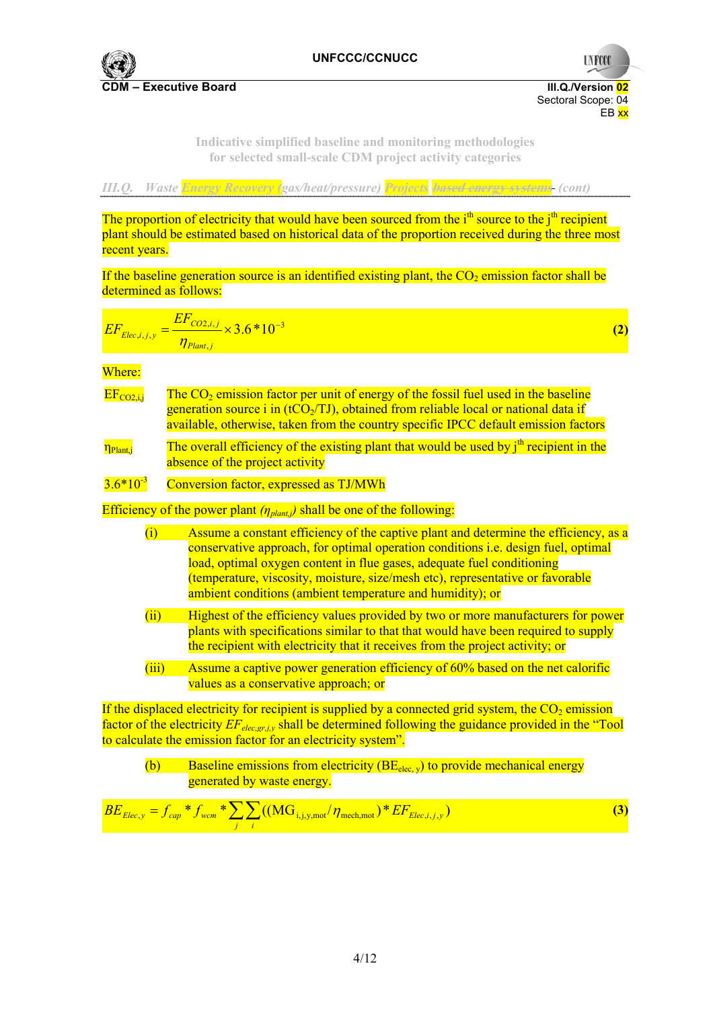

**UNFCCC** 

**Indicative simplified baseline and monitoring methodologies for selected small-scale CDM project activity categories** 

*III.Q. Waste Energy Recovery (gas/heat/pressure) Projects* **based energy systems** *(cont)* 

The proportion of electricity that would have been sourced from the  $i<sup>th</sup>$  source to the  $i<sup>th</sup>$  recipient plant should be estimated based on historical data of the proportion received during the three most recent years.

If the baseline generation source is an identified existing plant, the  $CO<sub>2</sub>$  emission factor shall be determined as follows:

$$
EF_{Elec,i,j,y} = \frac{EF_{CO2,i,j}}{\eta_{Plan,i,j}} \times 3.6*10^{-3}
$$
 (2)

Where:

- $EF_{CO2,i}$  The  $CO<sub>2</sub>$  emission factor per unit of energy of the fossil fuel used in the baseline generation source i in (tCO $/$ TJ), obtained from reliable local or national data if available, otherwise, taken from the country specific IPCC default emission factors
- $\eta_{\text{Planti}}$  The overall efficiency of the existing plant that would be used by  $i^{\text{th}}$  recipient in the absence of the project activity

## $3.6*10<sup>-3</sup>$  Conversion factor, expressed as TJ/MWh

Efficiency of the power plant *(ηplant,j)* shall be one of the following:

- (i) Assume a constant efficiency of the captive plant and determine the efficiency, as a conservative approach, for optimal operation conditions i.e. design fuel, optimal load, optimal oxygen content in flue gases, adequate fuel conditioning (temperature, viscosity, moisture, size/mesh etc), representative or favorable ambient conditions (ambient temperature and humidity); or
- (ii) Highest of the efficiency values provided by two or more manufacturers for power plants with specifications similar to that that would have been required to supply the recipient with electricity that it receives from the project activity; or
- (iii) Assume a captive power generation efficiency of 60% based on the net calorific values as a conservative approach; or

If the displaced electricity for recipient is supplied by a connected grid system, the  $CO<sub>2</sub>$  emission factor of the electricity *EF<sub>elec,gr,j,y* shall be determined following the guidance provided in the "Tool</sub> to calculate the emission factor for an electricity system".

(b) Baseline emissions from electricity  $(BE_{elec,v})$  to provide mechanical energy generated by waste energy.

$$
BE_{Elec,y} = f_{cap} * f_{wcm} * \sum_{j} \sum_{i} ((MG_{i,j,y,mot}/\eta_{mech,mot}) * EF_{Elec,i,j,y})
$$
(3)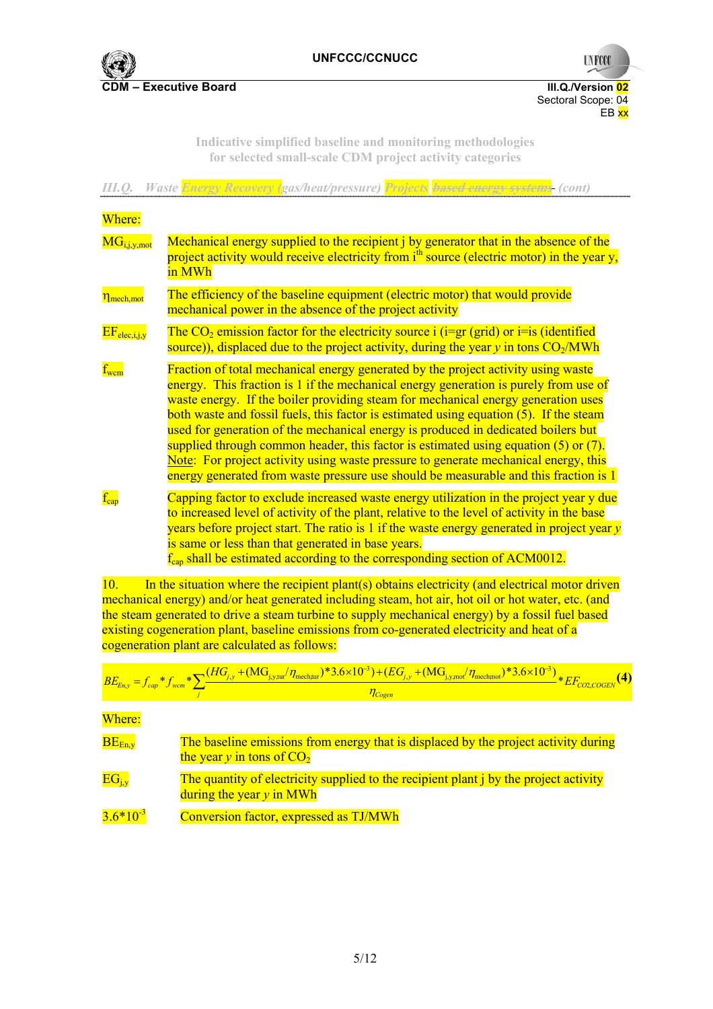

**UNFCCC** 

**Indicative simplified baseline and monitoring methodologies for selected small-scale CDM project activity categories** 

| III.Q.                                    | Waste Energy Recovery (gas/heat/pressure) Projects based energy systems (cont)                                                                                                                                                                                                                                                                                                                                                                                                                                                                                                                                                                                                                                           |
|-------------------------------------------|--------------------------------------------------------------------------------------------------------------------------------------------------------------------------------------------------------------------------------------------------------------------------------------------------------------------------------------------------------------------------------------------------------------------------------------------------------------------------------------------------------------------------------------------------------------------------------------------------------------------------------------------------------------------------------------------------------------------------|
| Where:                                    |                                                                                                                                                                                                                                                                                                                                                                                                                                                                                                                                                                                                                                                                                                                          |
| $\overline{\text{MG}}_{i,j,y,\text{mot}}$ | Mechanical energy supplied to the recipient j by generator that in the absence of the<br>project activity would receive electricity from i <sup>th</sup> source (electric motor) in the year y,<br>in MWh                                                                                                                                                                                                                                                                                                                                                                                                                                                                                                                |
| n <sub>mech,mot</sub>                     | The efficiency of the baseline equipment (electric motor) that would provide<br>mechanical power in the absence of the project activity                                                                                                                                                                                                                                                                                                                                                                                                                                                                                                                                                                                  |
| $EF_{elec,i,j,v}$                         | The $CO_2$ emission factor for the electricity source i (i=gr (grid) or i=is (identified<br>source)), displaced due to the project activity, during the year $y$ in tons $CO2/MWh$                                                                                                                                                                                                                                                                                                                                                                                                                                                                                                                                       |
| $f_{\text{wcm}}$                          | Fraction of total mechanical energy generated by the project activity using waste<br>energy. This fraction is 1 if the mechanical energy generation is purely from use of<br>waste energy. If the boiler providing steam for mechanical energy generation uses<br>both waste and fossil fuels, this factor is estimated using equation (5). If the steam<br>used for generation of the mechanical energy is produced in dedicated boilers but<br>supplied through common header, this factor is estimated using equation $(5)$ or $(7)$ .<br>Note: For project activity using waste pressure to generate mechanical energy, this<br>energy generated from waste pressure use should be measurable and this fraction is 1 |
| $f_{cap}$                                 | Capping factor to exclude increased waste energy utilization in the project year y due<br>to increased level of activity of the plant, relative to the level of activity in the base<br>years before project start. The ratio is $1$ if the waste energy generated in project year $y$<br>is same or less than that generated in base years.<br>$f_{cap}$ shall be estimated according to the corresponding section of ACM0012.<br>$\mathbf{d} = (i_1, i_2, \ldots, i_n)$ and $\mathbf{d} = (i_1, i_2, \ldots, i_n)$ and $\mathbf{d} = (i_1, i_2, \ldots, i_n)$ and $\mathbf{d} = (i_1, i_2, \ldots, i_n)$                                                                                                               |

10. In the situation where the recipient plant(s) obtains electricity (and electrical motor driven mechanical energy) and/or heat generated including steam, hot air, hot oil or hot water, etc. (and the steam generated to drive a steam turbine to supply mechanical energy) by a fossil fuel based existing cogeneration plant, baseline emissions from co-generated electricity and heat of a cogeneration plant are calculated as follows:

$$
\frac{BE_{En,y} = f_{cap} * f_{wcm} * \sum_{j} \frac{(HG_{j,y} + (MG_{j,y,tut}/\eta_{mech, tur}) * 3.6 \times 10^{-3}) + (EG_{j,y} + (MG_{j,y,tut}/\eta_{mech, var}) * 3.6 \times 10^{-3})}{\eta_{Cogen}} * EF_{COLCOGEN}
$$
\nWhere:

\n**BE**<sub>En,y</sub>

\nThe baseline emissions from energy that is displaced by the project activity during the year *y* in tons of CO<sub>2</sub>

\nEG<sub>j,y</sub>

\nThe quantity of electricity supplied to the recipient plant *j* by the project activity during the year *y* in MWh

\n3.6\*10<sup>-3</sup>

\nConversion factor, expressed as TJ/MWh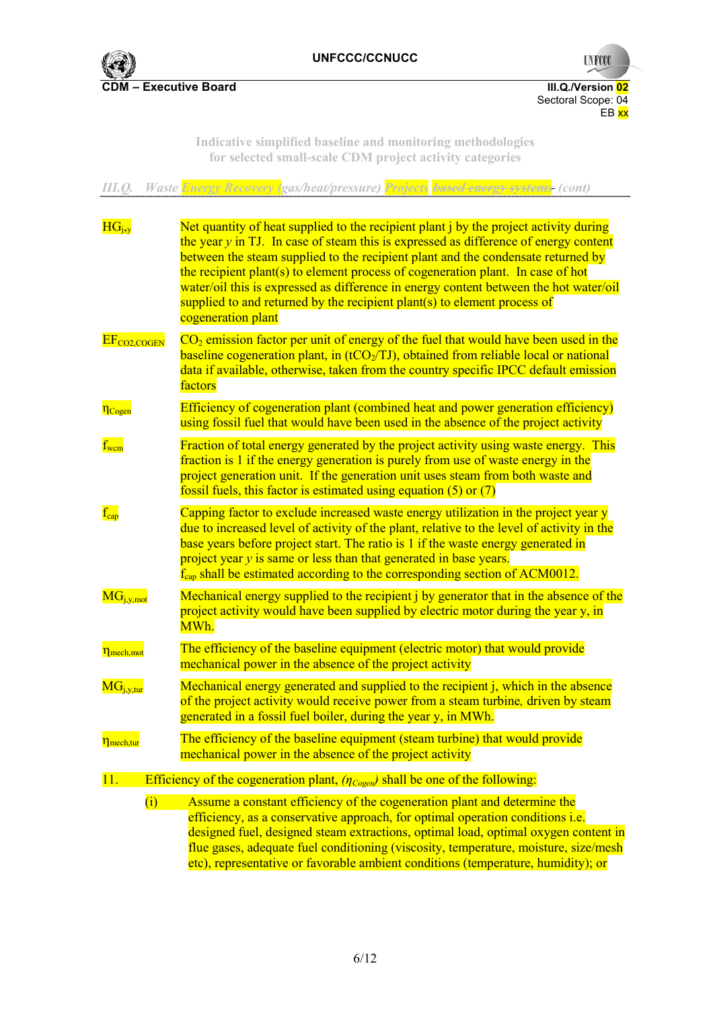

Sectoral Scope: 04  $EB$ <sub>xx</sub>

**UNFCCC** 

**Indicative simplified baseline and monitoring methodologies for selected small-scale CDM project activity categories** 

| III.Q.                                  | Waste Energy Recovery (gas/heat/pressure) Projects based energy systems (cont)                                                                                                                                                                                                                                                                                                                                                                                                                                                                    |
|-----------------------------------------|---------------------------------------------------------------------------------------------------------------------------------------------------------------------------------------------------------------------------------------------------------------------------------------------------------------------------------------------------------------------------------------------------------------------------------------------------------------------------------------------------------------------------------------------------|
| $HG_{i,v}$                              | Net quantity of heat supplied to the recipient plant j by the project activity during<br>the year $y$ in TJ. In case of steam this is expressed as difference of energy content<br>between the steam supplied to the recipient plant and the condensate returned by<br>the recipient plant(s) to element process of cogeneration plant. In case of hot<br>water/oil this is expressed as difference in energy content between the hot water/oil<br>supplied to and returned by the recipient plant(s) to element process of<br>cogeneration plant |
| $EF_{CO2, COGEN}$                       | $CO2$ emission factor per unit of energy of the fuel that would have been used in the<br>baseline cogeneration plant, in $(tCO_2/TJ)$ , obtained from reliable local or national<br>data if available, otherwise, taken from the country specific IPCC default emission<br>factors                                                                                                                                                                                                                                                                |
| n <sub>Cogen</sub>                      | Efficiency of cogeneration plant (combined heat and power generation efficiency)<br>using fossil fuel that would have been used in the absence of the project activity                                                                                                                                                                                                                                                                                                                                                                            |
| $\text{f}_{\text{wcm}}$                 | Fraction of total energy generated by the project activity using waste energy. This<br>fraction is 1 if the energy generation is purely from use of waste energy in the<br>project generation unit. If the generation unit uses steam from both waste and<br>fossil fuels, this factor is estimated using equation $(5)$ or $(7)$                                                                                                                                                                                                                 |
| $f_{cap}$                               | Capping factor to exclude increased waste energy utilization in the project year y<br>due to increased level of activity of the plant, relative to the level of activity in the<br>base years before project start. The ratio is 1 if the waste energy generated in<br>project year y is same or less than that generated in base years.<br>$f_{cap}$ shall be estimated according to the corresponding section of ACM0012.                                                                                                                       |
| $\overline{\text{MG}_{j,y,mot}}$        | Mechanical energy supplied to the recipient j by generator that in the absence of the<br>project activity would have been supplied by electric motor during the year y, in<br>MWh.                                                                                                                                                                                                                                                                                                                                                                |
| $\eta_{\text{mech}, \text{mot}}$        | The efficiency of the baseline equipment (electric motor) that would provide<br>mechanical power in the absence of the project activity                                                                                                                                                                                                                                                                                                                                                                                                           |
| $\overline{\text{MG}_{\text{i,y,tur}}}$ | Mechanical energy generated and supplied to the recipient j, which in the absence<br>of the project activity would receive power from a steam turbine, driven by steam<br>generated in a fossil fuel boiler, during the year y, in MWh.                                                                                                                                                                                                                                                                                                           |
| n <sub>mech,tur</sub>                   | The efficiency of the baseline equipment (steam turbine) that would provide<br>mechanical power in the absence of the project activity                                                                                                                                                                                                                                                                                                                                                                                                            |
| 11.                                     | Efficiency of the cogeneration plant, $(\eta_{Co\text{gen}})$ shall be one of the following:                                                                                                                                                                                                                                                                                                                                                                                                                                                      |
| (i)                                     | Assume a constant efficiency of the cogeneration plant and determine the<br>efficiency, as a conservative approach, for optimal operation conditions <i>i.e.</i><br>designed fuel, designed steam extractions, optimal load, optimal oxygen content in<br>flue gases, adequate fuel conditioning (viscosity, temperature, moisture, size/mesh<br>etc), representative or favorable ambient conditions (temperature, humidity); or                                                                                                                 |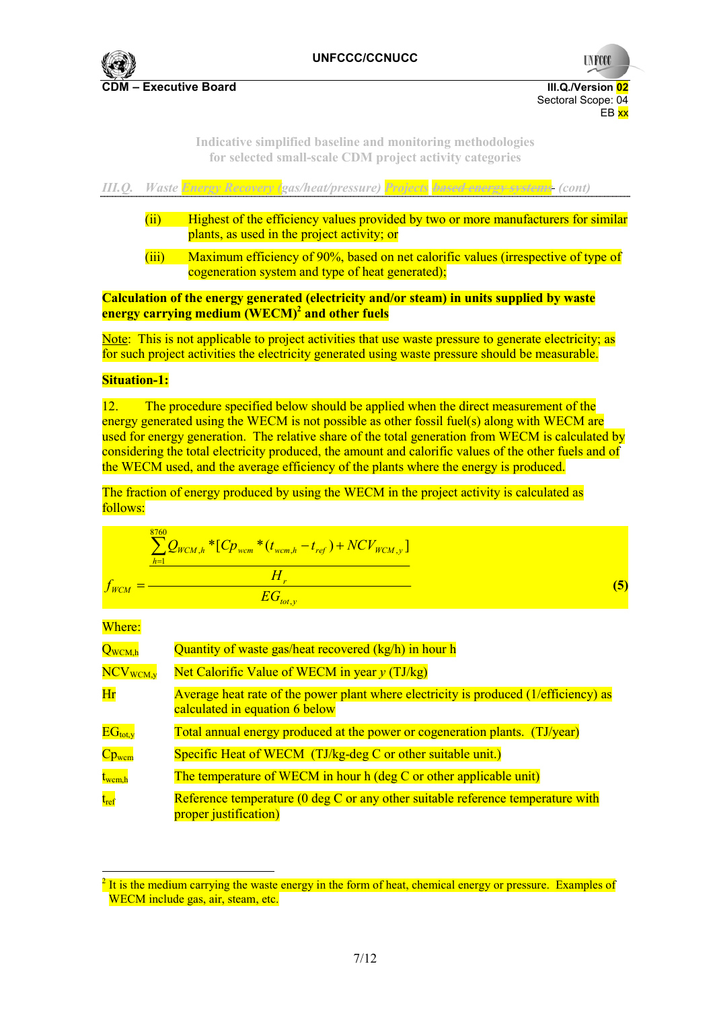

**UNFCCC** 

**Indicative simplified baseline and monitoring methodologies for selected small-scale CDM project activity categories** 



**Calculation of the energy generated (electricity and/or steam) in units supplied by waste energy carrying medium (WECM)<sup>2</sup> and other fuels** 

Note: This is not applicable to project activities that use waste pressure to generate electricity; as for such project activities the electricity generated using waste pressure should be measurable.

### **Situation-1:**

12. The procedure specified below should be applied when the direct measurement of the energy generated using the WECM is not possible as other fossil fuel(s) along with WECM are used for energy generation. The relative share of the total generation from WECM is calculated by considering the total electricity produced, the amount and calorific values of the other fuels and of the WECM used, and the average efficiency of the plants where the energy is produced.

The fraction of energy produced by using the WECM in the project activity is calculated as follows:

$$
f_{WCM} = \frac{\sum_{h=1}^{8760} Q_{WCM,h} * [C p_{wcm} * (t_{wcm,h} - t_{ref}) + N C V_{WCM,y}]}{H_r}
$$
\n(5)

Where:

 $\overline{a}$ 

| $Q_{WCM,h}$                                   | Quantity of waste gas/heat recovered (kg/h) in hour h                                                                  |
|-----------------------------------------------|------------------------------------------------------------------------------------------------------------------------|
| $\overline{\text{NCV}}_{\text{WCM},\text{y}}$ | Net Calorific Value of WECM in year $y(TJ/kg)$                                                                         |
| Hr                                            | Average heat rate of the power plant where electricity is produced (1/efficiency) as<br>calculated in equation 6 below |
| $EG_{tot, v}$                                 | Total annual energy produced at the power or cogeneration plants. (TJ/year)                                            |
| $Cp_{wcm}$                                    | Specific Heat of WECM (TJ/kg-deg C or other suitable unit.)                                                            |
| $t_{\text{wcm,h}}$                            | The temperature of WECM in hour h (deg C or other applicable unit)                                                     |
| $t_{\rm ref}$                                 | Reference temperature $(0 \text{ deg } C)$ or any other suitable reference temperature with<br>proper justification)   |

 $2$  It is the medium carrying the waste energy in the form of heat, chemical energy or pressure. Examples of WECM include gas, air, steam, etc.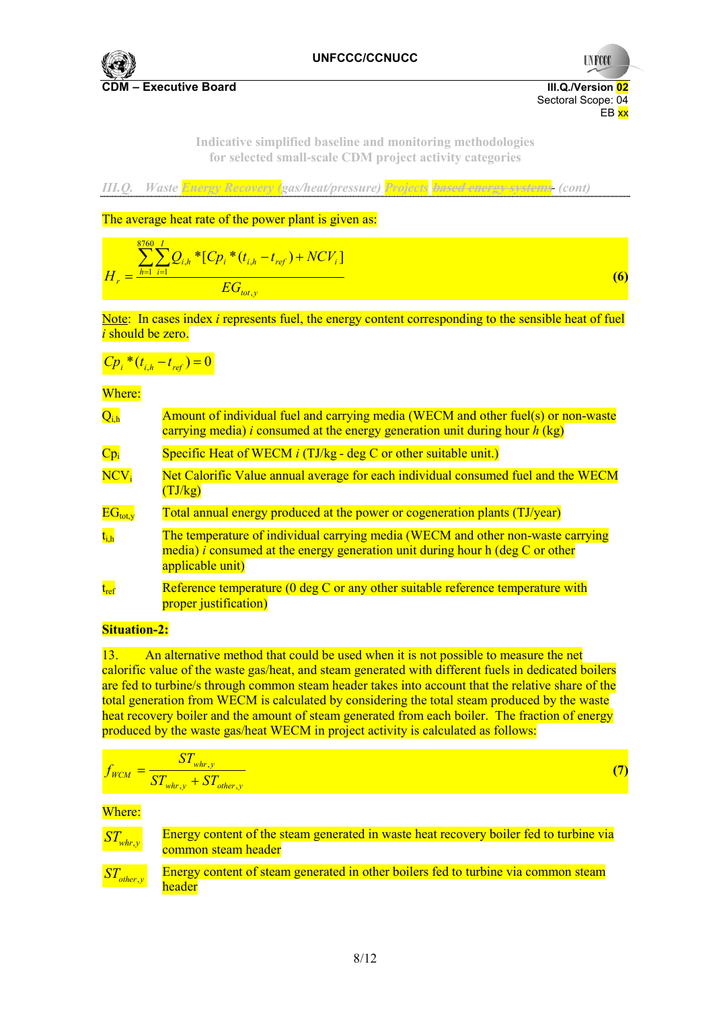

**UNFCCC** 

**Indicative simplified baseline and monitoring methodologies for selected small-scale CDM project activity categories** 

*III.Q. Waste Energy Recovery (gas/heat/pressure) Projects* **based energy systems** *(cont)* 

The average heat rate of the power plant is given as:

$$
H_r = \frac{\sum_{h=1}^{8760} \sum_{i=1}^{I} Q_{i,h} * [C p_i * (t_{i,h} - t_{ref}) + N C V_i]}{EG_{tot,y}}
$$
(6)

Note: In cases index *i* represents fuel, the energy content corresponding to the sensible heat of fuel *i* should be zero.

$$
C p_i * (t_{i,h} - t_{ref}) = 0
$$

Where:

| $Q_{i,h}$                 | Amount of individual fuel and carrying media (WECM and other fuel(s) or non-waste<br>carrying media) <i>i</i> consumed at the energy generation unit during hour $h$ (kg)                   |
|---------------------------|---------------------------------------------------------------------------------------------------------------------------------------------------------------------------------------------|
| $Cp_i$                    | Specific Heat of WECM $i$ (TJ/kg - deg C or other suitable unit.)                                                                                                                           |
| $\overline{\text{NCV}}_i$ | Net Calorific Value annual average for each individual consumed fuel and the WECM<br>(TJ/kg)                                                                                                |
| $EG_{tot, v}$             | Total annual energy produced at the power or cogeneration plants (TJ/year)                                                                                                                  |
| $t_{i,h}$                 | The temperature of individual carrying media (WECM and other non-waste carrying<br>media) <i>i</i> consumed at the energy generation unit during hour h (deg C or other<br>applicable unit) |
| $t_{ref}$                 | Reference temperature $(0 \deg C)$ or any other suitable reference temperature with<br>proper justification)                                                                                |

## **Situation-2:**

13. An alternative method that could be used when it is not possible to measure the net calorific value of the waste gas/heat, and steam generated with different fuels in dedicated boilers are fed to turbine/s through common steam header takes into account that the relative share of the total generation from WECM is calculated by considering the total steam produced by the waste heat recovery boiler and the amount of steam generated from each boiler. The fraction of energy produced by the waste gas/heat WECM in project activity is calculated as follows:

$$
f_{WCM} = \frac{ST_{\text{whr},y}}{ST_{\text{whr},y} + ST_{\text{other},y}}
$$
(7)

Where:

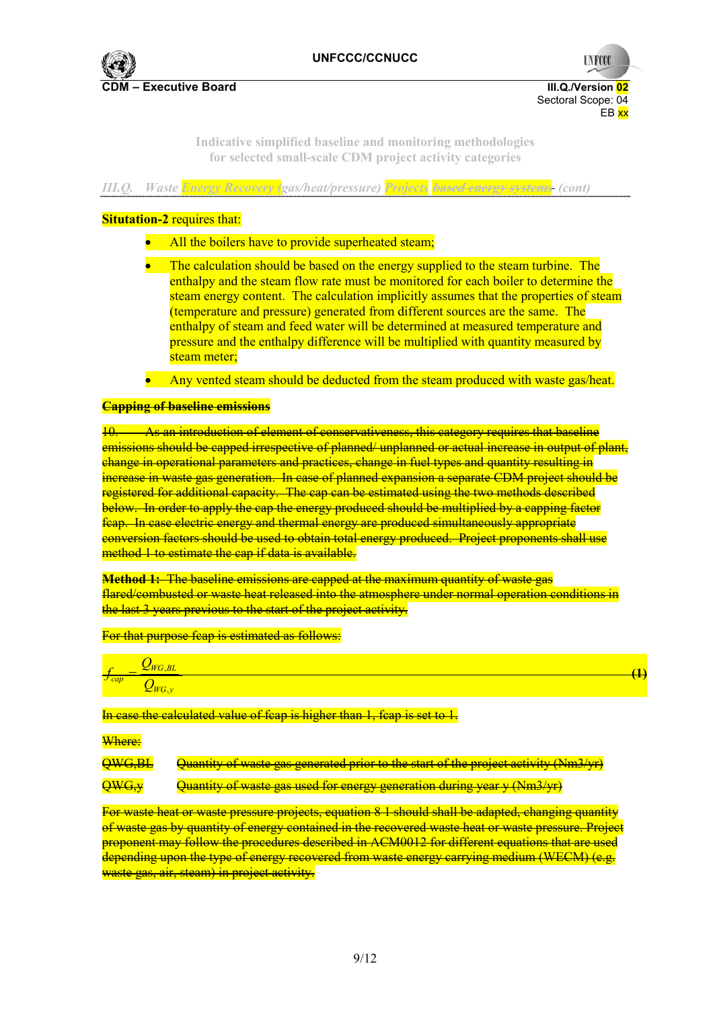

**UNFCCC** 

**Indicative simplified baseline and monitoring methodologies for selected small-scale CDM project activity categories** 

|  |  |  |  | III.Q. Waste Energy Recovery (gas/heat/pressure) Projects based energy systems (cont) |
|--|--|--|--|---------------------------------------------------------------------------------------|
|--|--|--|--|---------------------------------------------------------------------------------------|

### **Situtation-2** requires that:

- All the boilers have to provide superheated steam;
- The calculation should be based on the energy supplied to the steam turbine. The enthalpy and the steam flow rate must be monitored for each boiler to determine the steam energy content. The calculation implicitly assumes that the properties of steam (temperature and pressure) generated from different sources are the same. The enthalpy of steam and feed water will be determined at measured temperature and pressure and the enthalpy difference will be multiplied with quantity measured by steam meter;
- Any vented steam should be deducted from the steam produced with waste gas/heat.

### **Capping of baseline emissions**

10. As an introduction of element of conservativeness, this category requires that baseline emissions should be capped irrespective of planned/ unplanned or actual increase in output of plant, change in operational parameters and practices, change in fuel types and quantity resulting in increase in waste gas generation. In case of planned expansion a separate CDM project should be registered for additional capacity. The cap can be estimated using the two methods described below. In order to apply the cap the energy produced should be multiplied by a capping factor fcap. In case electric energy and thermal energy are produced simultaneously appropriate conversion factors should be used to obtain total energy produced. Project proponents shall use method 1 to estimate the cap if data is available.

**Method 1:** The baseline emissions are capped at the maximum quantity of waste gas flared/combusted or waste heat released into the atmosphere under normal operation conditions in the last 3 years previous to the start of the project activity.

For that purpose feap is estimated as follows:

| cap |  |
|-----|--|

In case the calculated value of fcap is higher than 1, fcap is set to 1.

#### Where:

QWG,BL Quantity of waste gas generated prior to the start of the project activity (Nm3/yr)

QWG,y Quantity of waste gas used for energy generation during year y (Nm3/yr)

For waste heat or waste pressure projects, equation 8 1 should shall be adapted, changing quantity of waste gas by quantity of energy contained in the recovered waste heat or waste pressure. Project proponent may follow the procedures described in ACM0012 for different equations that are used depending upon the type of energy recovered from waste energy carrying medium (WECM) (e.g. waste gas, air, steam) in project activity.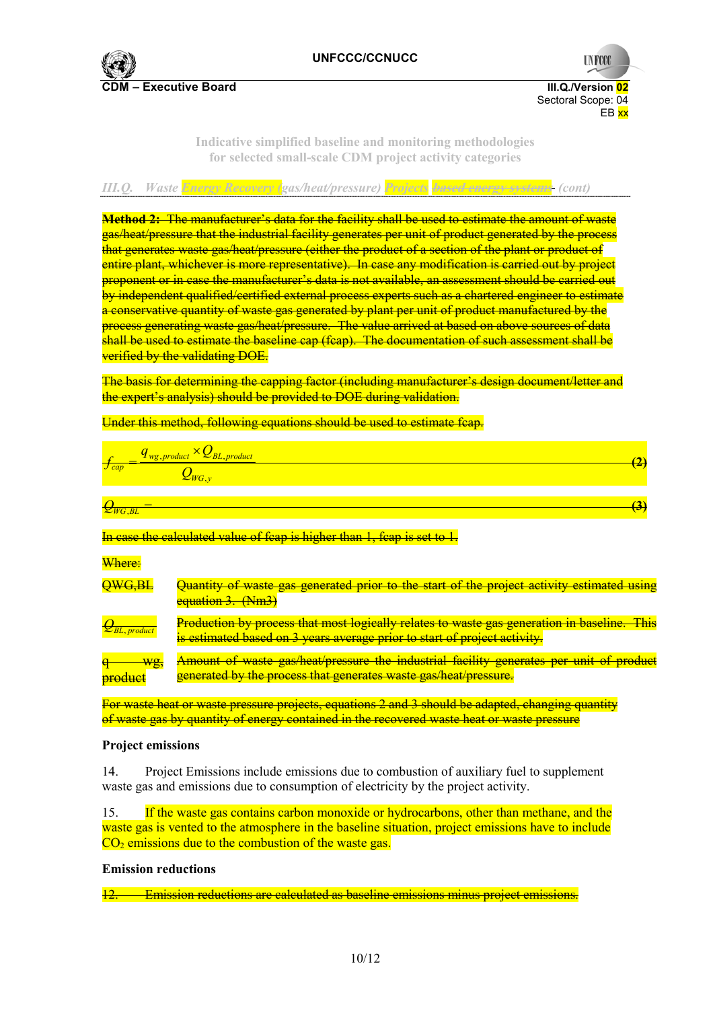

**UNFCCC** 

### **Indicative simplified baseline and monitoring methodologies for selected small-scale CDM project activity categories**

# *III.Q. Waste Energy Recovery (gas/heat/pressure) Projects* **based energy systems** *(cont)*

**Method 2:** The manufacturer's data for the facility shall be used to estimate the amount of waste gas/heat/pressure that the industrial facility generates per unit of product generated by the process that generates waste gas/heat/pressure (either the product of a section of the plant or product of entire plant, whichever is more representative). In case any modification is carried out by project proponent or in case the manufacturer's data is not available, an assessment should be carried out by independent qualified/certified external process experts such as a chartered engineer to estimate a conservative quantity of waste gas generated by plant per unit of product manufactured by the process generating waste gas/heat/pressure. The value arrived at based on above sources of data shall be used to estimate the baseline cap (fcap). The documentation of such assessment shall be verified by the validating DOE.

The basis for determining the capping factor (including manufacturer's design document/letter and the expert's analysis) should be provided to DOE during validation.

#### Under this method, following equations should be used to estimate fcap.

$$
f_{cap} = \frac{q_{wg,product} \times Q_{BL,product}}{Q_{WG,y}}
$$
(2)

 $Q_{WG,BL}$  = **(3)**  $(3)$ 

### In case the calculated value of fcap is higher than 1, fcap is set to 1.

#### Where:

| QWG,BL                      | Quantity of waste gas generated prior to the start of the project activity estimated using<br>equation 3. (Nm3)                                                                 |
|-----------------------------|---------------------------------------------------------------------------------------------------------------------------------------------------------------------------------|
| $\mathcal{L}_{BL, product}$ | <b>Production by process that most logically relates to waste gas generation in baseline. This</b><br>is estimated based on 3 years average prior to start of project activity. |
| Wg,<br><b>product</b>       | Amount of waste gas/heat/pressure the industrial facility generates per unit of product<br>generated by the process that generates waste gas/heat/pressure.                     |

For waste heat or waste pressure projects, equations 2 and 3 should be adapted, changing quantity of waste gas by quantity of energy contained in the recovered waste heat or waste pressure

### **Project emissions**

14. Project Emissions include emissions due to combustion of auxiliary fuel to supplement waste gas and emissions due to consumption of electricity by the project activity.

15. If the waste gas contains carbon monoxide or hydrocarbons, other than methane, and the waste gas is vented to the atmosphere in the baseline situation, project emissions have to include  $CO<sub>2</sub>$  emissions due to the combustion of the waste gas.

### **Emission reductions**

12. Emission reductions are calculated as baseline emissions minus project emissions.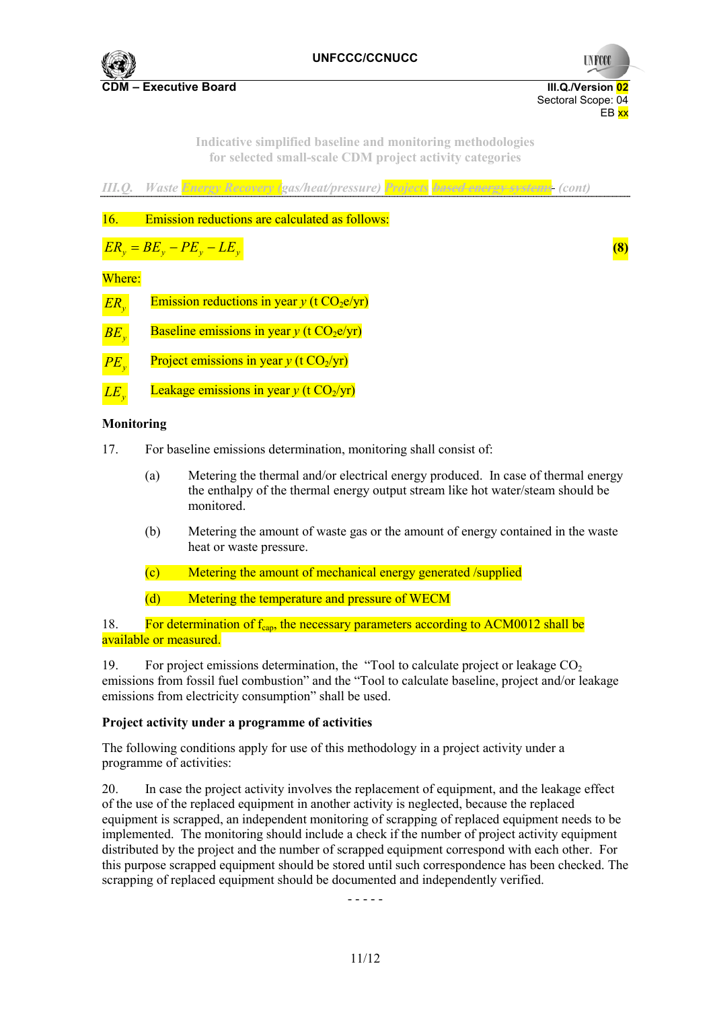

**CDM – Executive Board III.Q./Version 02**

Sectoral Scope: 04 EB xx

**UNFCCC** 

**Indicative simplified baseline and monitoring methodologies for selected small-scale CDM project activity categories** 



*LE<sub>y</sub>* Leakage emissions in year *y* (t  $CO<sub>2</sub>/yr$ )

### **Monitoring**

- 17. For baseline emissions determination, monitoring shall consist of:
	- (a) Metering the thermal and/or electrical energy produced. In case of thermal energy the enthalpy of the thermal energy output stream like hot water/steam should be monitored.
	- (b) Metering the amount of waste gas or the amount of energy contained in the waste heat or waste pressure.
	- (c) Metering the amount of mechanical energy generated /supplied
	- (d) Metering the temperature and pressure of WECM

18. For determination of  $f_{can}$ , the necessary parameters according to ACM0012 shall be available or measured.

19. For project emissions determination, the "Tool to calculate project or leakage  $CO<sub>2</sub>$ emissions from fossil fuel combustion" and the "Tool to calculate baseline, project and/or leakage emissions from electricity consumption" shall be used.

## **Project activity under a programme of activities**

The following conditions apply for use of this methodology in a project activity under a programme of activities:

20. In case the project activity involves the replacement of equipment, and the leakage effect of the use of the replaced equipment in another activity is neglected, because the replaced equipment is scrapped, an independent monitoring of scrapping of replaced equipment needs to be implemented. The monitoring should include a check if the number of project activity equipment distributed by the project and the number of scrapped equipment correspond with each other. For this purpose scrapped equipment should be stored until such correspondence has been checked. The scrapping of replaced equipment should be documented and independently verified.

- - - - -